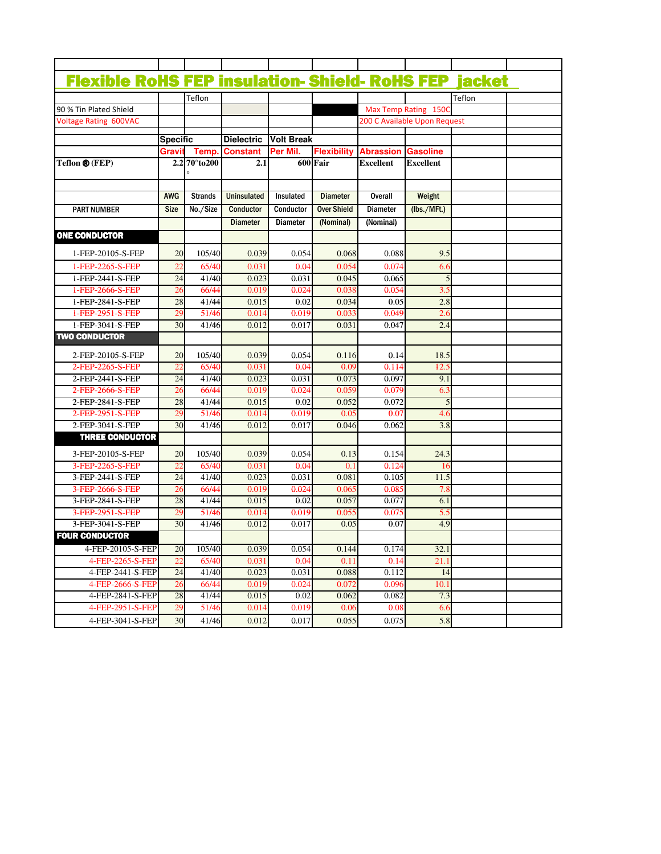| <b>Flexible RoHS FEP insulation- Shield- RoHS FEP jacket</b> |                 |                         |                    |                   |                    |                  |                                                      |        |  |
|--------------------------------------------------------------|-----------------|-------------------------|--------------------|-------------------|--------------------|------------------|------------------------------------------------------|--------|--|
|                                                              |                 |                         |                    |                   |                    |                  |                                                      |        |  |
|                                                              |                 | Teflon                  |                    |                   |                    |                  |                                                      | Teflon |  |
| 90 % Tin Plated Shield                                       |                 |                         |                    |                   |                    |                  | Max Temp Rating 150C<br>200 C Available Upon Request |        |  |
| <b>Voltage Rating 600VAC</b>                                 |                 |                         |                    |                   |                    |                  |                                                      |        |  |
|                                                              | <b>Specific</b> |                         | <b>Dielectric</b>  | <b>Volt Break</b> |                    |                  |                                                      |        |  |
|                                                              | Grav            | Temp.                   | <b>Constant</b>    | Per Mil.          | <b>Flexibility</b> | <b>Abrassion</b> | <b>Gasoline</b>                                      |        |  |
| Teflon ® (FEP)                                               |                 | $2.2\,70^{\circ}$ to200 | 2.1                |                   | 600 Fair           | Excellent        | <b>Excellent</b>                                     |        |  |
|                                                              | <b>AWG</b>      | <b>Strands</b>          | <b>Uninsulated</b> | Insulated         | <b>Diameter</b>    | <b>Overall</b>   | Weight                                               |        |  |
|                                                              |                 |                         |                    |                   |                    |                  |                                                      |        |  |
| <b>PART NUMBER</b>                                           | <b>Size</b>     | No./Size                | Conductor          | Conductor         | <b>Over Shield</b> | <b>Diameter</b>  | (lbs./Mft.)                                          |        |  |
|                                                              |                 |                         | <b>Diameter</b>    | <b>Diameter</b>   | (Nominal)          | (Nominal)        |                                                      |        |  |
| <b>ONE CONDUCTOR</b>                                         |                 |                         |                    |                   |                    |                  |                                                      |        |  |
| 1-FEP-20105-S-FEP                                            | 20              | 105/40                  | 0.039              | 0.054             | 0.068              | 0.088            | 9.5                                                  |        |  |
| 1-FEP-2265-S-FEP                                             | 22              | 65/40                   | 0.031              | 0.04              | 0.054              | 0.074            | 6.6                                                  |        |  |
| 1-FEP-2441-S-FEP                                             | 24              | 41/40                   | 0.023              | 0.031             | 0.045              | 0.065            | 5                                                    |        |  |
| 1-FEP-2666-S-FEP                                             | 26              | 66/44                   | 0.019              | 0.024             | 0.038              | 0.054            | 3.5                                                  |        |  |
| 1-FEP-2841-S-FEP                                             | 28              | 41/44                   | 0.015              | 0.02              | 0.034              | 0.05             | 2.8                                                  |        |  |
| 1-FEP-2951-S-FEP                                             | 29              | 51/46                   | 0.014              | 0.019             | 0.033              | 0.049            | 2.6                                                  |        |  |
| 1-FEP-3041-S-FEP                                             | 30              | 41/46                   | 0.012              | 0.017             | 0.031              | 0.047            | 2.4                                                  |        |  |
| <b>TWO CONDUCTOR</b>                                         |                 |                         |                    |                   |                    |                  |                                                      |        |  |
| 2-FEP-20105-S-FEP                                            | 20              | 105/40                  | 0.039              | 0.054             | 0.116              | 0.14             | 18.5                                                 |        |  |
| 2-FEP-2265-S-FEP                                             | 22              | 65/40                   | 0.031              | 0.04              | 0.09               | 0.114            | 12.3                                                 |        |  |
| 2-FEP-2441-S-FEP                                             | 24              | 41/40                   | 0.023              | 0.031             | 0.073              | 0.097            | 9.1                                                  |        |  |
| 2-FEP-2666-S-FEP                                             | 26              | 66/44                   | 0.019              | 0.024             | 0.059              | 0.079            | 6.3                                                  |        |  |
| 2-FEP-2841-S-FEP                                             | 28              | 41/44                   | 0.015              | 0.02              | 0.052              | 0.072            | 5                                                    |        |  |
| 2-FEP-2951-S-FEP                                             | 29              | 51/46                   | 0.014              | 0.019             | 0.05               | 0.07             | 4.6                                                  |        |  |
| 2-FEP-3041-S-FEP                                             | 30              | 41/46                   | 0.012              | 0.017             | 0.046              | 0.062            | $\overline{3.8}$                                     |        |  |
| <b>THREE CONDUCTOR</b>                                       |                 |                         |                    |                   |                    |                  |                                                      |        |  |
| 3-FEP-20105-S-FEP                                            | 20              | 105/40                  | 0.039              | 0.054             | 0.13               | 0.154            | 24.3                                                 |        |  |
| 3-FEP-2265-S-FEP                                             | 22              | 65/40                   | 0.031              | 0.04              | 0.1                | 0.124            | 16                                                   |        |  |
| 3-FEP-2441-S-FEP                                             | 24              | 41/40                   | 0.023              | 0.031             | 0.081              | 0.105            | 11.5                                                 |        |  |
| 3-FEP-2666-S-FEP                                             | 26              | 66/44                   | 0.019              | 0.024             | 0.065              | 0.085            | 7.8                                                  |        |  |
| 3-FEP-2841-S-FEP                                             | 28              | 41/44                   | 0.015              | 0.02              | 0.057              | 0.077            | 6.1                                                  |        |  |
| 3-FEP-2951-S-FEP                                             | 29              | 51/46                   | 0.014              | 0.019             | 0.055              | 0.075            | 5.5                                                  |        |  |
| 3-FEP-3041-S-FEP                                             | 30              | 41/46                   | 0.012              | 0.017             | 0.05               | 0.07             | 4.9                                                  |        |  |
| <b>FOUR CONDUCTOR</b>                                        |                 |                         |                    |                   |                    |                  |                                                      |        |  |
| 4-FEP-20105-S-FEP                                            | 20              | 105/40                  | 0.039              | 0.054             | 0.144              | 0.174            | 32.1                                                 |        |  |
| 4-FEP-2265-S-FEP                                             | 22              | 65/40                   | 0.031              | 0.04              | 0.11               | 0.14             | 21.1                                                 |        |  |
| 4-FEP-2441-S-FEP                                             | 24              | 41/40                   | 0.023              | 0.031             | 0.088              | 0.112            | 14                                                   |        |  |
| 4-FEP-2666-S-FEP                                             | 26              | 66/44                   | 0.019              | 0.024             | 0.072              | 0.096            | 10.1                                                 |        |  |
| 4-FEP-2841-S-FEP                                             | 28              | 41/44                   | 0.015              | 0.02              | 0.062              | 0.082            | 7.3                                                  |        |  |
| 4-FEP-2951-S-FEP                                             | 29              | 51/46                   | 0.014              | 0.019             | 0.06               | 0.08             | 6.6                                                  |        |  |
| 4-FEP-3041-S-FEP                                             | 30              | 41/46                   | 0.012              | 0.017             | 0.055              | 0.075            | 5.8                                                  |        |  |
|                                                              |                 |                         |                    |                   |                    |                  |                                                      |        |  |